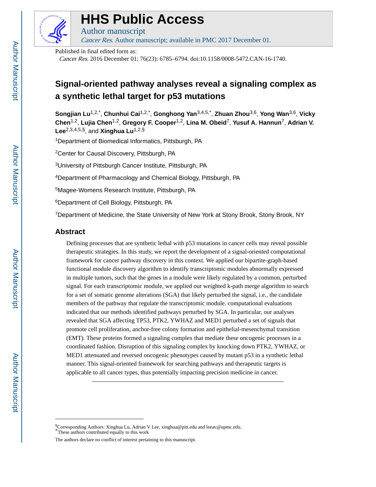

# **HHS Public Access**

Author manuscript Cancer Res. Author manuscript; available in PMC 2017 December 01.

Published in final edited form as:

Cancer Res. 2016 December 01; 76(23): 6785–6794. doi:10.1158/0008-5472.CAN-16-1740.

# **Signal-oriented pathway analyses reveal a signaling complex as a synthetic lethal target for p53 mutations**

**Songjian Lu**1,2,\* , **Chunhui Cai**1,2,\* , **Gonghong Yan**3,4,5,\* , **Zhuan Zhou**3,6, **Yong Wan**3,6, **Vicky Chen**1,2, **Lujia Chen**1,2, **Gregory F. Cooper**1,2, **Lina M. Obeid**7, **Yusuf A. Hannun**7, **Adrian V.**  Lee<sup>2,3,4,5,§</sup>, and **Xinghua Lu**<sup>1,2,§</sup>

<sup>1</sup>Department of Biomedical Informatics, Pittsburgh, PA

<sup>2</sup>Center for Causal Discovery, Pittsburgh, PA

<sup>3</sup>University of Pittsburgh Cancer Institute, Pittsburgh, PA

<sup>4</sup>Department of Pharmacology and Chemical Biology, Pittsburgh, PA

<sup>5</sup>Magee-Womens Research Institute, Pittsburgh, PA

<sup>6</sup>Department of Cell Biology, Pittsburgh, PA

<sup>7</sup>Department of Medicine, the State University of New York at Stony Brook, Stony Brook, NY

# **Abstract**

Defining processes that are synthetic lethal with p53 mutations in cancer cells may reveal possible therapeutic strategies. In this study, we report the development of a signal-oriented computational framework for cancer pathway discovery in this context. We applied our bipartite-graph-based functional module discovery algorithm to identify transcriptomic modules abnormally expressed in multiple tumors, such that the genes in a module were likely regulated by a common, perturbed signal. For each transcriptomic module, we applied our weighted k-path merge algorithm to search for a set of somatic genome alterations (SGA) that likely perturbed the signal, i.e., the candidate members of the pathway that regulate the transcriptomic module. computational evaluations indicated that our methods identified pathways perturbed by SGA. In particular, our analyses revealed that SGA affecting TP53, PTK2, YWHAZ and MED1 perturbed a set of signals that promote cell proliferation, anchor-free colony formation and epithelial-mesenchymal transition (EMT). These proteins formed a signaling complex that mediate these oncogenic processes in a coordinated fashion. Disruption of this signaling complex by knocking down PTK2, YWHAZ, or MED1 attenuated and reversed oncogenic phenotypes caused by mutant p53 in a synthetic lethal manner. This signal-oriented framework for searching pathways and therapeutic targets is applicable to all cancer types, thus potentially impacting precision medicine in cancer.

<sup>§</sup>Corresponding Authors: Xinghua Lu, Adrian V Lee, xinghua@pitt.edu and leeav@upmc.edu. \*These authors contributed equally to this work

The authors declare no conflict of interest pertaining to this manuscript.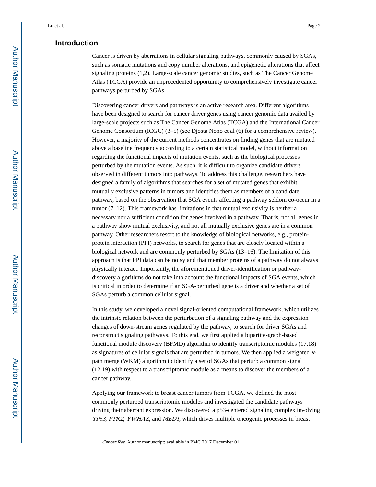# **Introduction**

Cancer is driven by aberrations in cellular signaling pathways, commonly caused by SGAs, such as somatic mutations and copy number alterations, and epigenetic alterations that affect signaling proteins (1,2). Large-scale cancer genomic studies, such as The Cancer Genome Atlas (TCGA) provide an unprecedented opportunity to comprehensively investigate cancer pathways perturbed by SGAs.

Discovering cancer drivers and pathways is an active research area. Different algorithms have been designed to search for cancer driver genes using cancer genomic data availed by large-scale projects such as The Cancer Genome Atlas (TCGA) and the International Cancer Genome Consortium (ICGC) (3–5) (see Djosta Nono et al (6) for a comprehensive review). However, a majority of the current methods concentrates on finding genes that are mutated above a baseline frequency according to a certain statistical model, without information regarding the functional impacts of mutation events, such as the biological processes perturbed by the mutation events. As such, it is difficult to organize candidate drivers observed in different tumors into pathways. To address this challenge, researchers have designed a family of algorithms that searches for a set of mutated genes that exhibit mutually exclusive patterns in tumors and identifies them as members of a candidate pathway, based on the observation that SGA events affecting a pathway seldom co-occur in a tumor  $(7-12)$ . This framework has limitations in that mutual exclusivity is neither a necessary nor a sufficient condition for genes involved in a pathway. That is, not all genes in a pathway show mutual exclusivity, and not all mutually exclusive genes are in a common pathway. Other researchers resort to the knowledge of biological networks, e.g., proteinprotein interaction (PPI) networks, to search for genes that are closely located within a biological network and are commonly perturbed by SGAs (13–16). The limitation of this approach is that PPI data can be noisy and that member proteins of a pathway do not always physically interact. Importantly, the aforementioned driver-identification or pathwaydiscovery algorithms do not take into account the functional impacts of SGA events, which is critical in order to determine if an SGA-perturbed gene is a driver and whether a set of SGAs perturb a common cellular signal.

In this study, we developed a novel signal-oriented computational framework, which utilizes the intrinsic relation between the perturbation of a signaling pathway and the expression changes of down-stream genes regulated by the pathway, to search for driver SGAs and reconstruct signaling pathways. To this end, we first applied a bipartite-graph-based functional module discovery (BFMD) algorithm to identify transcriptomic modules (17,18) as signatures of cellular signals that are perturbed in tumors. We then applied a weighted kpath merge (WKM) algorithm to identify a set of SGAs that perturb a common signal (12,19) with respect to a transcriptomic module as a means to discover the members of a cancer pathway.

Applying our framework to breast cancer tumors from TCGA, we defined the most commonly perturbed transcriptomic modules and investigated the candidate pathways driving their aberrant expression. We discovered a p53-centered signaling complex involving TP53, PTK2, YWHAZ, and MED1, which drives multiple oncogenic processes in breast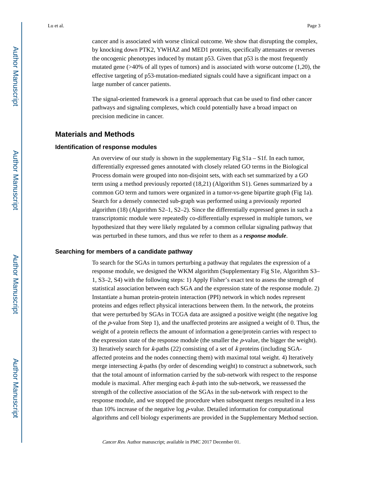cancer and is associated with worse clinical outcome. We show that disrupting the complex, by knocking down PTK2, YWHAZ and MED1 proteins, specifically attenuates or reverses the oncogenic phenotypes induced by mutant p53. Given that p53 is the most frequently mutated gene  $($ >40% of all types of tumors) and is associated with worse outcome  $(1,20)$ , the effective targeting of p53-mutation-mediated signals could have a significant impact on a large number of cancer patients.

The signal-oriented framework is a general approach that can be used to find other cancer pathways and signaling complexes, which could potentially have a broad impact on precision medicine in cancer.

### **Materials and Methods**

#### **Identification of response modules**

An overview of our study is shown in the supplementary Fig S1a – S1f. In each tumor, differentially expressed genes annotated with closely related GO terms in the Biological Process domain were grouped into non-disjoint sets, with each set summarized by a GO term using a method previously reported (18,21) (Algorithm S1). Genes summarized by a common GO term and tumors were organized in a tumor-vs-gene bipartite graph (Fig 1a). Search for a densely connected sub-graph was performed using a previously reported algorithm (18) (Algorithm S2–1, S2–2). Since the differentially expressed genes in such a transcriptomic module were repeatedly co-differentially expressed in multiple tumors, we hypothesized that they were likely regulated by a common cellular signaling pathway that was perturbed in these tumors, and thus we refer to them as a *response module*.

#### **Searching for members of a candidate pathway**

To search for the SGAs in tumors perturbing a pathway that regulates the expression of a response module, we designed the WKM algorithm (Supplementary Fig S1e, Algorithm S3– 1, S3–2, S4) with the following steps: 1) Apply Fisher's exact test to assess the strength of statistical association between each SGA and the expression state of the response module. 2) Instantiate a human protein-protein interaction (PPI) network in which nodes represent proteins and edges reflect physical interactions between them. In the network, the proteins that were perturbed by SGAs in TCGA data are assigned a positive weight (the negative log of the  $p$ -value from Step 1), and the unaffected proteins are assigned a weight of 0. Thus, the weight of a protein reflects the amount of information a gene/protein carries with respect to the expression state of the response module (the smaller the p-value, the bigger the weight). 3) Iteratively search for  $k$ -paths (22) consisting of a set of  $k$  proteins (including SGAaffected proteins and the nodes connecting them) with maximal total weight. 4) Iteratively merge intersecting k-paths (by order of descending weight) to construct a subnetwork, such that the total amount of information carried by the sub-network with respect to the response module is maximal. After merging each k-path into the sub-network, we reassessed the strength of the collective association of the SGAs in the sub-network with respect to the response module, and we stopped the procedure when subsequent merges resulted in a less than 10% increase of the negative log  $p$ -value. Detailed information for computational algorithms and cell biology experiments are provided in the Supplementary Method section.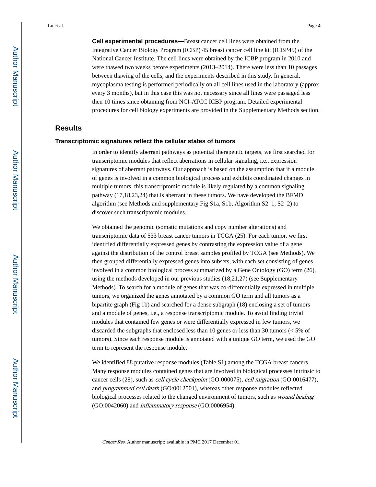**Cell experimental procedures—**Breast cancer cell lines were obtained from the Integrative Cancer Biology Program (ICBP) 45 breast cancer cell line kit (ICBP45) of the National Cancer Institute. The cell lines were obtained by the ICBP program in 2010 and were thawed two weeks before experiments (2013–2014). There were less than 10 passages between thawing of the cells, and the experiments described in this study. In general, mycoplasma testing is performed periodically on all cell lines used in the laboratory (approx every 3 months), but in this case this was not necessary since all lines were passaged less then 10 times since obtaining from NCI-ATCC ICBP program. Detailed experimental procedures for cell biology experiments are provided in the Supplementary Methods section.

# **Results**

#### **Transcriptomic signatures reflect the cellular states of tumors**

In order to identify aberrant pathways as potential therapeutic targets, we first searched for transcriptomic modules that reflect aberrations in cellular signaling, i.e., expression signatures of aberrant pathways. Our approach is based on the assumption that if a module of genes is involved in a common biological process and exhibits coordinated changes in multiple tumors, this transcriptomic module is likely regulated by a common signaling pathway (17,18,23,24) that is aberrant in these tumors. We have developed the BFMD algorithm (see Methods and supplementary Fig S1a, S1b, Algorithm S2–1, S2–2) to discover such transcriptomic modules.

We obtained the genomic (somatic mutations and copy number alterations) and transcriptomic data of 533 breast cancer tumors in TCGA (25). For each tumor, we first identified differentially expressed genes by contrasting the expression value of a gene against the distribution of the control breast samples profiled by TCGA (see Methods). We then grouped differentially expressed genes into subsets, with each set consisting of genes involved in a common biological process summarized by a Gene Ontology (GO) term (26), using the methods developed in our previous studies (18,21,27) (see Supplementary Methods). To search for a module of genes that was co-differentially expressed in multiple tumors, we organized the genes annotated by a common GO term and all tumors as a bipartite graph (Fig 1b) and searched for a dense subgraph (18) enclosing a set of tumors and a module of genes, i.e., a response transcriptomic module. To avoid finding trivial modules that contained few genes or were differentially expressed in few tumors, we discarded the subgraphs that enclosed less than 10 genes or less than 30 tumors (< 5% of tumors). Since each response module is annotated with a unique GO term, we used the GO term to represent the response module.

We identified 88 putative response modules (Table S1) among the TCGA breast cancers. Many response modules contained genes that are involved in biological processes intrinsic to cancer cells (28), such as cell cycle checkpoint (GO:000075), cell migration (GO:0016477), and programmed cell death (GO:0012501), whereas other response modules reflected biological processes related to the changed environment of tumors, such as wound healing (GO:0042060) and inflammatory response (GO:0006954).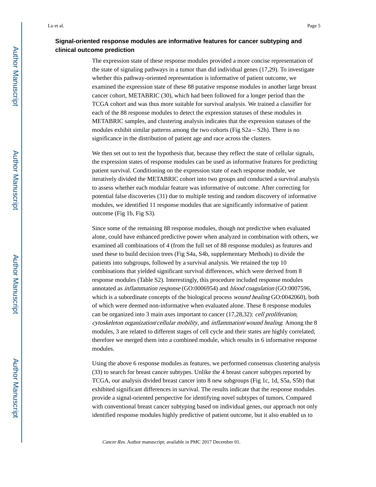# **Signal-oriented response modules are informative features for cancer subtyping and clinical outcome prediction**

The expression state of these response modules provided a more concise representation of the state of signaling pathways in a tumor than did individual genes (17,29). To investigate whether this pathway-oriented representation is informative of patient outcome, we examined the expression state of these 88 putative response modules in another large breast cancer cohort, METABRIC (30), which had been followed for a longer period than the TCGA cohort and was thus more suitable for survival analysis. We trained a classifier for each of the 88 response modules to detect the expression statuses of these modules in METABRIC samples, and clustering analysis indicates that the expression statuses of the modules exhibit similar patterns among the two cohorts (Fig  $S2a - S2h$ ). There is no significance in the distribution of patient age and race across the clusters.

We then set out to test the hypothesis that, because they reflect the state of cellular signals, the expression states of response modules can be used as informative features for predicting patient survival. Conditioning on the expression state of each response module, we iteratively divided the METABRIC cohort into two groups and conducted a survival analysis to assess whether each modular feature was informative of outcome. After correcting for potential false discoveries (31) due to multiple testing and random discovery of informative modules, we identified 11 response modules that are significantly informative of patient outcome (Fig 1b, Fig S3).

Since some of the remaining 88 response modules, though not predictive when evaluated alone, could have enhanced predictive power when analyzed in combination with others, we examined all combinations of 4 (from the full set of 88 response modules) as features and used these to build decision trees (Fig S4a, S4b, supplementary Methods) to divide the patients into subgroups, followed by a survival analysis. We retained the top 10 combinations that yielded significant survival differences, which were derived from 8 response modules (Table S2). Interestingly, this procedure included response modules annotated as inflammation response (GO:0006954) and blood coagulation (GO:0007596, which is a subordinate concepts of the biological process *wound healing* GO:0042060), both of which were deemed non-informative when evaluated alone. These 8 response modules can be organized into 3 main axes important to cancer (17,28,32): cell proliferation, cytoskeleton organization/cellular mobility, and inflammation/wound healing. Among the 8 modules, 3 are related to different stages of cell cycle and their states are highly correlated; therefore we merged them into a combined module, which results in 6 informative response modules.

Using the above 6 response modules as features, we performed consensus clustering analysis (33) to search for breast cancer subtypes. Unlike the 4 breast cancer subtypes reported by TCGA, our analysis divided breast cancer into 8 new subgroups (Fig 1c, 1d, S5a, S5b) that exhibited significant differences in survival. The results indicate that the response modules provide a signal-oriented perspective for identifying novel subtypes of tumors. Compared with conventional breast cancer subtyping based on individual genes, our approach not only identified response modules highly predictive of patient outcome, but it also enabled us to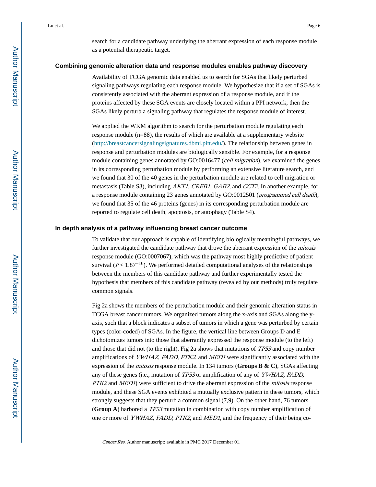search for a candidate pathway underlying the aberrant expression of each response module as a potential therapeutic target.

#### **Combining genomic alteration data and response modules enables pathway discovery**

Availability of TCGA genomic data enabled us to search for SGAs that likely perturbed signaling pathways regulating each response module. We hypothesize that if a set of SGAs is consistently associated with the aberrant expression of a response module, and if the proteins affected by these SGA events are closely located within a PPI network, then the SGAs likely perturb a signaling pathway that regulates the response module of interest.

We applied the WKM algorithm to search for the perturbation module regulating each response module (n=88), the results of which are available at a supplementary website [\(http://breastcancersignalingsignatures.dbmi.pitt.edu/](http://breastcancersignalingsignatures.dbmi.pitt.edu/)). The relationship between genes in response and perturbation modules are biologically sensible. For example, for a response module containing genes annotated by GO:0016477 (*cell migration*), we examined the genes in its corresponding perturbation module by performing an extensive literature search, and we found that 30 of the 40 genes in the perturbation module are related to cell migration or metastasis (Table S3), including AKT1, CREB1, GAB2, and CCT2. In another example, for a response module containing 23 genes annotated by GO:0012501 (programmed cell death), we found that 35 of the 46 proteins (genes) in its corresponding perturbation module are reported to regulate cell death, apoptosis, or autophagy (Table S4).

#### **In depth analysis of a pathway influencing breast cancer outcome**

To validate that our approach is capable of identifying biologically meaningful pathways, we further investigated the candidate pathway that drove the aberrant expression of the *mitosis* response module (GO:0007067), which was the pathway most highly predictive of patient survival ( $P < 1.87<sup>-16</sup>$ ). We performed detailed computational analyses of the relationships between the members of this candidate pathway and further experimentally tested the hypothesis that members of this candidate pathway (revealed by our methods) truly regulate common signals.

Fig 2a shows the members of the perturbation module and their genomic alteration status in TCGA breast cancer tumors. We organized tumors along the x-axis and SGAs along the yaxis, such that a block indicates a subset of tumors in which a gene was perturbed by certain types (color-coded) of SGAs. In the figure, the vertical line between Groups D and E dichotomizes tumors into those that aberrantly expressed the response module (to the left) and those that did not (to the right). Fig 2a shows that mutations of TP53 and copy number amplifications of YWHAZ, FADD, PTK2, and MED1 were significantly associated with the expression of the mitosis response module. In 134 tumors (**Groups B & C**), SGAs affecting any of these genes (i.e., mutation of TP53 or amplification of any of YWHAZ, FADD, PTK2 and MED1) were sufficient to drive the aberrant expression of the *mitosis* response module, and these SGA events exhibited a mutually exclusive pattern in these tumors, which strongly suggests that they perturb a common signal (7,9). On the other hand, 76 tumors (**Group A**) harbored a TP53 mutation in combination with copy number amplification of one or more of YWHAZ, FADD, PTK2, and MED1, and the frequency of their being co-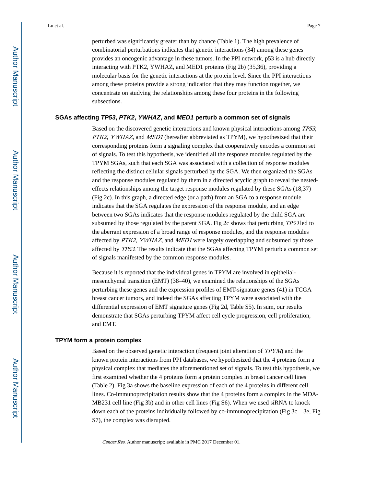perturbed was significantly greater than by chance (Table 1). The high prevalence of combinatorial perturbations indicates that genetic interactions (34) among these genes provides an oncogenic advantage in these tumors. In the PPI network, p53 is a hub directly interacting with PTK2, YWHAZ, and MED1 proteins (Fig 2b) (35,36), providing a molecular basis for the genetic interactions at the protein level. Since the PPI interactions among these proteins provide a strong indication that they may function together, we concentrate on studying the relationships among these four proteins in the following subsections.

#### **SGAs affecting TP53, PTK2, YWHAZ, and MED1 perturb a common set of signals**

Based on the discovered genetic interactions and known physical interactions among TP53, PTK2, YWHAZ, and MED1 (hereafter abbreviated as TPYM), we hypothesized that their corresponding proteins form a signaling complex that cooperatively encodes a common set of signals. To test this hypothesis, we identified all the response modules regulated by the TPYM SGAs, such that each SGA was associated with a collection of response modules reflecting the distinct cellular signals perturbed by the SGA. We then organized the SGAs and the response modules regulated by them in a directed acyclic graph to reveal the nestedeffects relationships among the target response modules regulated by these SGAs (18,37) (Fig 2c). In this graph, a directed edge (or a path) from an SGA to a response module indicates that the SGA regulates the expression of the response module, and an edge between two SGAs indicates that the response modules regulated by the child SGA are subsumed by those regulated by the parent SGA. Fig 2c shows that perturbing TP53 led to the aberrant expression of a broad range of response modules, and the response modules affected by PTK2, YWHAZ, and MED1 were largely overlapping and subsumed by those affected by TP53. The results indicate that the SGAs affecting TPYM perturb a common set of signals manifested by the common response modules.

Because it is reported that the individual genes in TPYM are involved in epithelialmesenchymal transition (EMT) (38–40), we examined the relationships of the SGAs perturbing these genes and the expression profiles of EMT-signature genes (41) in TCGA breast cancer tumors, and indeed the SGAs affecting TPYM were associated with the differential expression of EMT signature genes (Fig 2d, Table S5). In sum, our results demonstrate that SGAs perturbing TPYM affect cell cycle progression, cell proliferation, and EMT.

#### **TPYM form a protein complex**

Based on the observed genetic interaction (frequent joint alteration of TPYM) and the known protein interactions from PPI databases, we hypothesized that the 4 proteins form a physical complex that mediates the aforementioned set of signals. To test this hypothesis, we first examined whether the 4 proteins form a protein complex in breast cancer cell lines (Table 2). Fig 3a shows the baseline expression of each of the 4 proteins in different cell lines. Co-immunoprecipitation results show that the 4 proteins form a complex in the MDA-MB231 cell line (Fig 3b) and in other cell lines (Fig S6). When we used siRNA to knock down each of the proteins individually followed by co-immunoprecipitation (Fig  $3c - 3e$ , Fig S7), the complex was disrupted.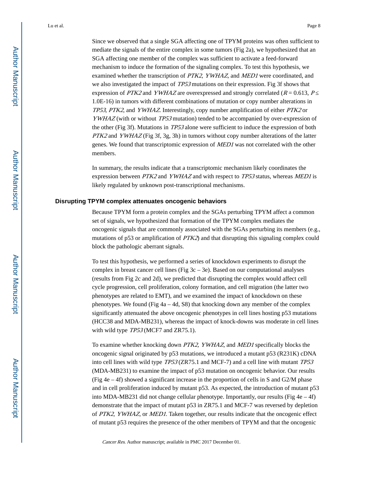Since we observed that a single SGA affecting one of TPYM proteins was often sufficient to mediate the signals of the entire complex in some tumors (Fig 2a), we hypothesized that an SGA affecting one member of the complex was sufficient to activate a feed-forward mechanism to induce the formation of the signaling complex. To test this hypothesis, we examined whether the transcription of PTK2, YWHAZ, and MED1 were coordinated, and we also investigated the impact of TP53 mutations on their expression. Fig 3f shows that expression of *PTK2* and *YWHAZ* are overexpressed and strongly correlated ( $R = 0.613$ , *P* 1.0E-16) in tumors with different combinations of mutation or copy number alterations in TP53, PTK2, and YWHAZ. Interestingly, copy number amplification of either PTK2 or YWHAZ (with or without TP53 mutation) tended to be accompanied by over-expression of the other (Fig 3f). Mutations in TP53 alone were sufficient to induce the expression of both  $PTK2$  and  $YWHAZ$  (Fig 3f, 3g, 3h) in tumors without copy number alterations of the latter genes. We found that transcriptomic expression of MED1 was not correlated with the other members.

In summary, the results indicate that a transcriptomic mechanism likely coordinates the expression between PTK2 and YWHAZ and with respect to TP53 status, whereas MED1 is likely regulated by unknown post-transcriptional mechanisms.

#### **Disrupting TPYM complex attenuates oncogenic behaviors**

Because TPYM form a protein complex and the SGAs perturbing TPYM affect a common set of signals, we hypothesized that formation of the TPYM complex mediates the oncogenic signals that are commonly associated with the SGAs perturbing its members (e.g., mutations of p53 or amplification of PTK2) and that disrupting this signaling complex could block the pathologic aberrant signals.

To test this hypothesis, we performed a series of knockdown experiments to disrupt the complex in breast cancer cell lines (Fig  $3c - 3e$ ). Based on our computational analyses (results from Fig 2c and 2d), we predicted that disrupting the complex would affect cell cycle progression, cell proliferation, colony formation, and cell migration (the latter two phenotypes are related to EMT), and we examined the impact of knockdown on these phenotypes. We found (Fig 4a – 4d, S8) that knocking down any member of the complex significantly attenuated the above oncogenic phenotypes in cell lines hosting p53 mutations (HCC38 and MDA-MB231), whereas the impact of knock-downs was moderate in cell lines with wild type *TP53* (MCF7 and ZR75.1).

To examine whether knocking down PTK2, YWHAZ, and MED1 specifically blocks the oncogenic signal originated by p53 mutations, we introduced a mutant p53 (R231K) cDNA into cell lines with wild type TP53 (ZR75.1 and MCF-7) and a cell line with mutant TP53 (MDA-MB231) to examine the impact of p53 mutation on oncogenic behavior. Our results (Fig  $4e - 4f$ ) showed a significant increase in the proportion of cells in S and G2/M phase and in cell proliferation induced by mutant p53. As expected, the introduction of mutant p53 into MDA-MB231 did not change cellular phenotype. Importantly, our results (Fig  $4e - 4f$ ) demonstrate that the impact of mutant p53 in ZR75.1 and MCF-7 was reversed by depletion of PTK2, YWHAZ, or MED1. Taken together, our results indicate that the oncogenic effect of mutant p53 requires the presence of the other members of TPYM and that the oncogenic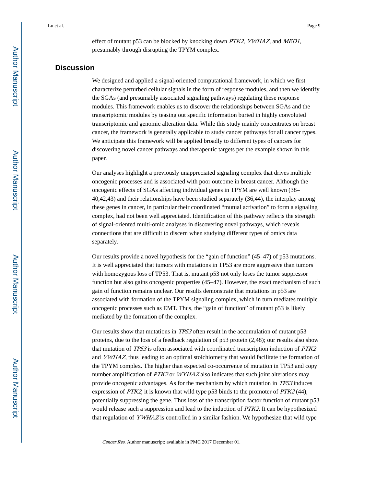effect of mutant p53 can be blocked by knocking down *PTK2*, *YWHAZ*, and *MED1*, presumably through disrupting the TPYM complex.

# **Discussion**

We designed and applied a signal-oriented computational framework, in which we first characterize perturbed cellular signals in the form of response modules, and then we identify the SGAs (and presumably associated signaling pathways) regulating these response modules. This framework enables us to discover the relationships between SGAs and the transcriptomic modules by teasing out specific information buried in highly convoluted transcriptomic and genomic alteration data. While this study mainly concentrates on breast cancer, the framework is generally applicable to study cancer pathways for all cancer types. We anticipate this framework will be applied broadly to different types of cancers for discovering novel cancer pathways and therapeutic targets per the example shown in this paper.

Our analyses highlight a previously unappreciated signaling complex that drives multiple oncogenic processes and is associated with poor outcome in breast cancer. Although the oncogenic effects of SGAs affecting individual genes in TPYM are well known (38– 40,42,43) and their relationships have been studied separately (36,44), the interplay among these genes in cancer, in particular their coordinated "mutual activation" to form a signaling complex, had not been well appreciated. Identification of this pathway reflects the strength of signal-oriented multi-omic analyses in discovering novel pathways, which reveals connections that are difficult to discern when studying different types of omics data separately.

Our results provide a novel hypothesis for the "gain of function" (45–47) of p53 mutations. It is well appreciated that tumors with mutations in TP53 are more aggressive than tumors with homozygous loss of TP53. That is, mutant p53 not only loses the tumor suppressor function but also gains oncogenic properties (45–47). However, the exact mechanism of such gain of function remains unclear. Our results demonstrate that mutations in p53 are associated with formation of the TPYM signaling complex, which in turn mediates multiple oncogenic processes such as EMT. Thus, the "gain of function" of mutant p53 is likely mediated by the formation of the complex.

Our results show that mutations in TP53 often result in the accumulation of mutant p53 proteins, due to the loss of a feedback regulation of p53 protein (2,48); our results also show that mutation of TP53 is often associated with coordinated transcription induction of PTK2 and YWHAZ, thus leading to an optimal stoichiometry that would facilitate the formation of the TPYM complex. The higher than expected co-occurrence of mutation in TP53 and copy number amplification of PTK2 or WYHAZ also indicates that such joint alterations may provide oncogenic advantages. As for the mechanism by which mutation in TP53 induces expression of PTK2, it is known that wild type p53 binds to the promoter of PTK2 (44), potentially suppressing the gene. Thus loss of the transcription factor function of mutant p53 would release such a suppression and lead to the induction of PTK2. It can be hypothesized that regulation of YWHAZ is controlled in a similar fashion. We hypothesize that wild type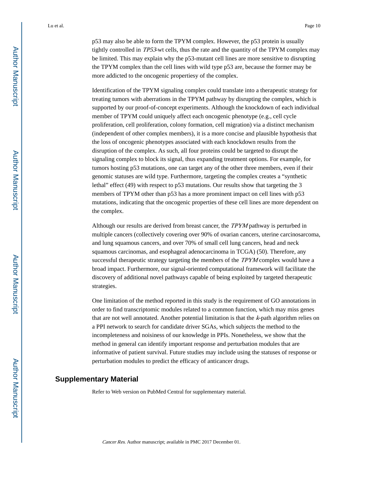p53 may also be able to form the TPYM complex. However, the p53 protein is usually tightly controlled in TP53-wt cells, thus the rate and the quantity of the TPYM complex may be limited. This may explain why the p53-mutant cell lines are more sensitive to disrupting the TPYM complex than the cell lines with wild type p53 are, because the former may be more addicted to the oncogenic propertiesy of the complex.

Identification of the TPYM signaling complex could translate into a therapeutic strategy for treating tumors with aberrations in the TPYM pathway by disrupting the complex, which is supported by our proof-of-concept experiments. Although the knockdown of each individual member of TPYM could uniquely affect each oncogenic phenotype (e.g., cell cycle proliferation, cell proliferation, colony formation, cell migration) via a distinct mechanism (independent of other complex members), it is a more concise and plausible hypothesis that the loss of oncogenic phenotypes associated with each knockdown results from the disruption of the complex. As such, all four proteins could be targeted to disrupt the signaling complex to block its signal, thus expanding treatment options. For example, for tumors hosting p53 mutations, one can target any of the other three members, even if their genomic statuses are wild type. Furthermore, targeting the complex creates a "synthetic lethal" effect (49) with respect to p53 mutations. Our results show that targeting the 3 members of TPYM other than p53 has a more prominent impact on cell lines with p53 mutations, indicating that the oncogenic properties of these cell lines are more dependent on the complex.

Although our results are derived from breast cancer, the TPYM pathway is perturbed in multiple cancers (collectively covering over 90% of ovarian cancers, uterine carcinosarcoma, and lung squamous cancers, and over 70% of small cell lung cancers, head and neck squamous carcinomas, and esophageal adenocarcinoma in TCGA) (50). Therefore, any successful therapeutic strategy targeting the members of the *TPYM* complex would have a broad impact. Furthermore, our signal-oriented computational framework will facilitate the discovery of additional novel pathways capable of being exploited by targeted therapeutic strategies.

One limitation of the method reported in this study is the requirement of GO annotations in order to find transcriptomic modules related to a common function, which may miss genes that are not well annotated. Another potential limitation is that the k-path algorithm relies on a PPI network to search for candidate driver SGAs, which subjects the method to the incompleteness and noisiness of our knowledge in PPIs. Nonetheless, we show that the method in general can identify important response and perturbation modules that are informative of patient survival. Future studies may include using the statuses of response or perturbation modules to predict the efficacy of anticancer drugs.

# **Supplementary Material**

Refer to Web version on PubMed Central for supplementary material.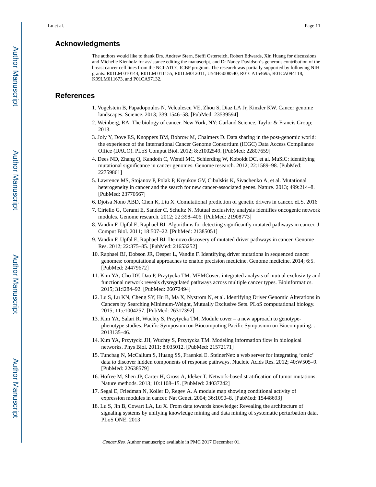# **Acknowledgments**

The authors would like to thank Drs. Andrew Stern, Steffi Osterreich, Robert Edwards, Xin Huang for discussions and Michelle Kienholz for assistance editing the manuscript, and Dr Nancy Davidson's generous contribution of the breast cancer cell lines from the NCI-ATCC ICBP program. The research was partially supported by following NIH grants: R01LM 010144, R01LM 011155, R01LM012011, U54HG008540, R01CA154695, R01CA094118, K99LM011673, and P01CA97132.

# **References**

- 1. Vogelstein B, Papadopoulos N, Velculescu VE, Zhou S, Diaz LA Jr, Kinzler KW. Cancer genome landscapes. Science. 2013; 339:1546–58. [PubMed: 23539594]
- 2. Weinberg, RA. The biology of cancer. New York, NY: Garland Science, Taylor & Francis Group; 2013.
- 3. Joly Y, Dove ES, Knoppers BM, Bobrow M, Chalmers D. Data sharing in the post-genomic world: the experience of the International Cancer Genome Consortium (ICGC) Data Access Compliance Office (DACO). PLoS Comput Biol. 2012; 8:e1002549. [PubMed: 22807659]
- 4. Dees ND, Zhang Q, Kandoth C, Wendl MC, Schierding W, Koboldt DC, et al. MuSiC: identifying mutational significance in cancer genomes. Genome research. 2012; 22:1589–98. [PubMed: 22759861]
- 5. Lawrence MS, Stojanov P, Polak P, Kryukov GV, Cibulskis K, Sivachenko A, et al. Mutational heterogeneity in cancer and the search for new cancer-associated genes. Nature. 2013; 499:214–8. [PubMed: 23770567]
- 6. Djotsa Nono ABD, Chen K, Liu X. Comutational prediction of genetic drivers in cancer. eLS. 2016
- 7. Ciriello G, Cerami E, Sander C, Schultz N. Mutual exclusivity analysis identifies oncogenic network modules. Genome research. 2012; 22:398–406. [PubMed: 21908773]
- 8. Vandin F, Upfal E, Raphael BJ. Algorithms for detecting significantly mutated pathways in cancer. J Comput Biol. 2011; 18:507–22. [PubMed: 21385051]
- 9. Vandin F, Upfal E, Raphael BJ. De novo discovery of mutated driver pathways in cancer. Genome Res. 2012; 22:375–85. [PubMed: 21653252]
- 10. Raphael BJ, Dobson JR, Oesper L, Vandin F. Identifying driver mutations in sequenced cancer genomes: computational approaches to enable precision medicine. Genome medicine. 2014; 6:5. [PubMed: 24479672]
- 11. Kim YA, Cho DY, Dao P, Przytycka TM. MEMCover: integrated analysis of mutual exclusivity and functional network reveals dysregulated pathways across multiple cancer types. Bioinformatics. 2015; 31:i284–92. [PubMed: 26072494]
- 12. Lu S, Lu KN, Cheng SY, Hu B, Ma X, Nystrom N, et al. Identifying Driver Genomic Alterations in Cancers by Searching Minimum-Weight, Mutually Exclusive Sets. PLoS computational biology. 2015; 11:e1004257. [PubMed: 26317392]
- 13. Kim YA, Salari R, Wuchty S, Przytycka TM. Module cover a new approach to genotypephenotype studies. Pacific Symposium on Biocomputing Pacific Symposium on Biocomputing. : 2013135–46.
- 14. Kim YA, Przytycki JH, Wuchty S, Przytycka TM. Modeling information flow in biological networks. Phys Biol. 2011; 8:035012. [PubMed: 21572171]
- 15. Tuncbag N, McCallum S, Huang SS, Fraenkel E. SteinerNet: a web server for integrating 'omic' data to discover hidden components of response pathways. Nucleic Acids Res. 2012; 40:W505–9. [PubMed: 22638579]
- 16. Hofree M, Shen JP, Carter H, Gross A, Ideker T. Network-based stratification of tumor mutations. Nature methods. 2013; 10:1108–15. [PubMed: 24037242]
- 17. Segal E, Friedman N, Koller D, Regev A. A module map showing conditional activity of expression modules in cancer. Nat Genet. 2004; 36:1090–8. [PubMed: 15448693]
- 18. Lu S, Jin B, Cowart LA, Lu X. From data towards knowledge: Revealing the architecture of signaling systems by unifying knowledge mining and data mining of systematic perturbation data. PLoS ONE. 2013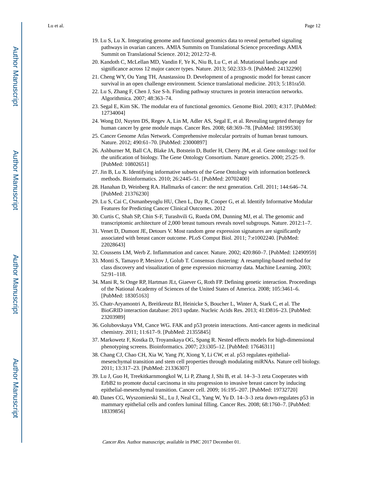- 19. Lu S, Lu X. Integrating genome and functional genomics data to reveal perturbed signaling pathways in ovarian cancers. AMIA Summits on Translational Science proceedings AMIA Summit on Translational Science. 2012; 2012:72–8.
- 20. Kandoth C, McLellan MD, Vandin F, Ye K, Niu B, Lu C, et al. Mutational landscape and significance across 12 major cancer types. Nature. 2013; 502:333–9. [PubMed: 24132290]
- 21. Cheng WY, Ou Yang TH, Anastassiou D. Development of a prognostic model for breast cancer survival in an open challenge environment. Science translational medicine. 2013; 5:181ra50.
- 22. Lu S, Zhang F, Chen J, Sze S-h. Finding pathway structures in protein interaction networks. Algorithmica. 2007; 48:363–74.
- 23. Segal E, Kim SK. The modular era of functional genomics. Genome Biol. 2003; 4:317. [PubMed: 12734004]
- 24. Wong DJ, Nuyten DS, Regev A, Lin M, Adler AS, Segal E, et al. Revealing targeted therapy for human cancer by gene module maps. Cancer Res. 2008; 68:369–78. [PubMed: 18199530]
- 25. Cancer Genome Atlas Network. Comprehensive molecular portraits of human breast tumours. Nature. 2012; 490:61–70. [PubMed: 23000897]
- 26. Ashburner M, Ball CA, Blake JA, Botstein D, Butler H, Cherry JM, et al. Gene ontology: tool for the unification of biology. The Gene Ontology Consortium. Nature genetics. 2000; 25:25–9. [PubMed: 10802651]
- 27. Jin B, Lu X. Identifying informative subsets of the Gene Ontology with information bottleneck methods. Bioinformatics. 2010; 26:2445–51. [PubMed: 20702400]
- 28. Hanahan D, Weinberg RA. Hallmarks of cancer: the next generation. Cell. 2011; 144:646–74. [PubMed: 21376230]
- 29. Lu S, Cai C, Osmanbeyoglu HU, Chen L, Day R, Cooper G, et al. Identify Informative Modular Features for Predicting Cancer Clinical Outcomes. 2012
- 30. Curtis C, Shah SP, Chin S-F, Turashvili G, Rueda OM, Dunning MJ, et al. The genomic and transcriptomic architecture of 2,000 breast tumours reveals novel subgroups. Nature. 2012:1–7.
- 31. Venet D, Dumont JE, Detours V. Most random gene expression signatures are significantly associated with breast cancer outcome. PLoS Comput Biol. 2011; 7:e1002240. [PubMed: 22028643]
- 32. Coussens LM, Werb Z. Inflammation and cancer. Nature. 2002; 420:860–7. [PubMed: 12490959]
- 33. Monti S, Tamayo P, Mesirov J, Golub T. Consensus clustering: A resampling-based method for class discovery and visualization of gene expression microarray data. Machine Learning. 2003; 52:91–118.
- 34. Mani R, St Onge RP, Hartman JLt, Giaever G, Roth FP. Defining genetic interaction. Proceedings of the National Academy of Sciences of the United States of America. 2008; 105:3461–6. [PubMed: 18305163]
- 35. Chatr-Aryamontri A, Breitkreutz BJ, Heinicke S, Boucher L, Winter A, Stark C, et al. The BioGRID interaction database: 2013 update. Nucleic Acids Res. 2013; 41:D816–23. [PubMed: 23203989]
- 36. Golubovskaya VM, Cance WG. FAK and p53 protein interactions. Anti-cancer agents in medicinal chemistry. 2011; 11:617–9. [PubMed: 21355845]
- 37. Markowetz F, Kostka D, Troyanskaya OG, Spang R. Nested effects models for high-dimensional phenotyping screens. Bioinformatics. 2007; 23:i305–12. [PubMed: 17646311]
- 38. Chang CJ, Chao CH, Xia W, Yang JY, Xiong Y, Li CW, et al. p53 regulates epithelialmesenchymal transition and stem cell properties through modulating miRNAs. Nature cell biology. 2011; 13:317–23. [PubMed: 21336307]
- 39. Lu J, Guo H, Treekitkarnmongkol W, Li P, Zhang J, Shi B, et al. 14–3–3 zeta Cooperates with ErbB2 to promote ductal carcinoma in situ progression to invasive breast cancer by inducing epithelial-mesenchymal transition. Cancer cell. 2009; 16:195–207. [PubMed: 19732720]
- 40. Danes CG, Wyszomierski SL, Lu J, Neal CL, Yang W, Yu D. 14–3–3 zeta down-regulates p53 in mammary epithelial cells and confers luminal filling. Cancer Res. 2008; 68:1760–7. [PubMed: 18339856]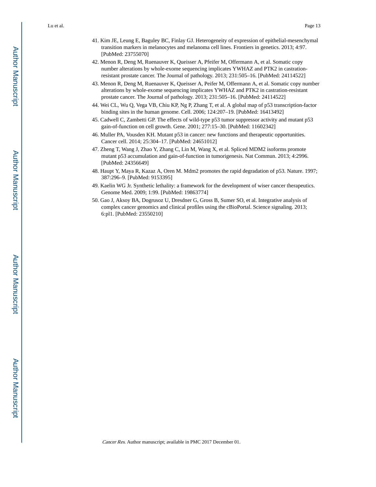- 41. Kim JE, Leung E, Baguley BC, Finlay GJ. Heterogeneity of expression of epithelial-mesenchymal transition markers in melanocytes and melanoma cell lines. Frontiers in genetics. 2013; 4:97. [PubMed: 23755070]
- 42. Menon R, Deng M, Ruenauver K, Queisser A, Pfeifer M, Offermann A, et al. Somatic copy number alterations by whole-exome sequencing implicates YWHAZ and PTK2 in castrationresistant prostate cancer. The Journal of pathology. 2013; 231:505–16. [PubMed: 24114522]
- 43. Menon R, Deng M, Ruenauver K, Queisser A, Peifer M, Offermann A, et al. Somatic copy number alterations by whole-exome sequencing implicates YWHAZ and PTK2 in castration-resistant prostate cancer. The Journal of pathology. 2013; 231:505–16. [PubMed: 24114522]
- 44. Wei CL, Wu Q, Vega VB, Chiu KP, Ng P, Zhang T, et al. A global map of p53 transcription-factor binding sites in the human genome. Cell. 2006; 124:207–19. [PubMed: 16413492]
- 45. Cadwell C, Zambetti GP. The effects of wild-type p53 tumor suppressor activity and mutant p53 gain-of-function on cell growth. Gene. 2001; 277:15–30. [PubMed: 11602342]
- 46. Muller PA, Vousden KH. Mutant p53 in cancer: new functions and therapeutic opportunities. Cancer cell. 2014; 25:304–17. [PubMed: 24651012]
- 47. Zheng T, Wang J, Zhao Y, Zhang C, Lin M, Wang X, et al. Spliced MDM2 isoforms promote mutant p53 accumulation and gain-of-function in tumorigenesis. Nat Commun. 2013; 4:2996. [PubMed: 24356649]
- 48. Haupt Y, Maya R, Kazaz A, Oren M. Mdm2 promotes the rapid degradation of p53. Nature. 1997; 387:296–9. [PubMed: 9153395]
- 49. Kaelin WG Jr. Synthetic lethality: a framework for the development of wiser cancer therapeutics. Genome Med. 2009; 1:99. [PubMed: 19863774]
- 50. Gao J, Aksoy BA, Dogrusoz U, Dresdner G, Gross B, Sumer SO, et al. Integrative analysis of complex cancer genomics and clinical profiles using the cBioPortal. Science signaling. 2013; 6:pl1. [PubMed: 23550210]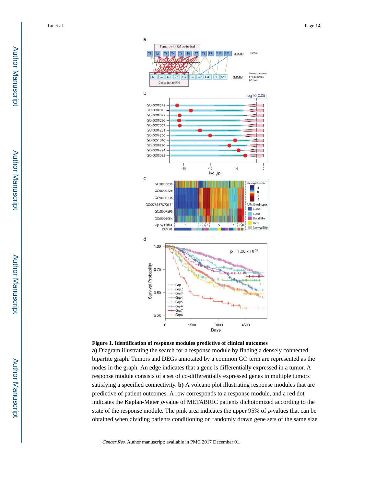



**a)** Diagram illustrating the search for a response module by finding a densely connected bipartite graph. Tumors and DEGs annotated by a common GO term are represented as the nodes in the graph. An edge indicates that a gene is differentially expressed in a tumor. A response module consists of a set of co-differentially expressed genes in multiple tumors satisfying a specified connectivity. **b)** A volcano plot illustrating response modules that are predictive of patient outcomes. A row corresponds to a response module, and a red dot indicates the Kaplan-Meier p-value of METABRIC patients dichotomized according to the state of the response module. The pink area indicates the upper 95% of  $p$ -values that can be obtained when dividing patients conditioning on randomly drawn gene sets of the same size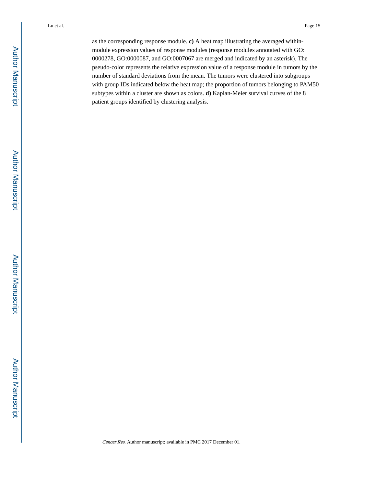as the corresponding response module. **c)** A heat map illustrating the averaged withinmodule expression values of response modules (response modules annotated with GO: 0000278, GO:0000087, and GO:0007067 are merged and indicated by an asterisk). The pseudo-color represents the relative expression value of a response module in tumors by the number of standard deviations from the mean. The tumors were clustered into subgroups with group IDs indicated below the heat map; the proportion of tumors belonging to PAM50 subtypes within a cluster are shown as colors. **d)** Kaplan-Meier survival curves of the 8 patient groups identified by clustering analysis.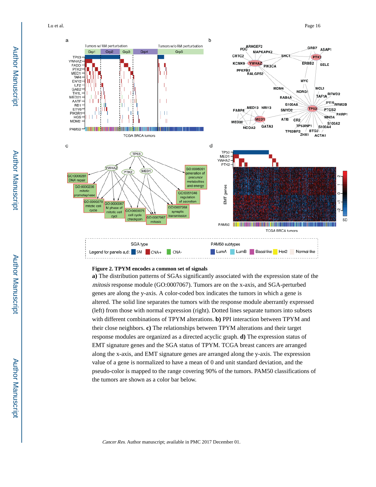Lu et al. Page 16



#### **Figure 2. TPYM encodes a common set of signals**

**a)** The distribution patterns of SGAs significantly associated with the expression state of the mitosis response module (GO:0007067). Tumors are on the x-axis, and SGA-perturbed genes are along the y-axis. A color-coded box indicates the tumors in which a gene is altered. The solid line separates the tumors with the response module aberrantly expressed (left) from those with normal expression (right). Dotted lines separate tumors into subsets with different combinations of TPYM alterations. **b)** PPI interaction between TPYM and their close neighbors. **c)** The relationships between TPYM alterations and their target response modules are organized as a directed acyclic graph. **d)** The expression status of EMT signature genes and the SGA status of TPYM. TCGA breast cancers are arranged along the x-axis, and EMT signature genes are arranged along the y-axis. The expression value of a gene is normalized to have a mean of 0 and unit standard deviation, and the pseudo-color is mapped to the range covering 90% of the tumors. PAM50 classifications of the tumors are shown as a color bar below.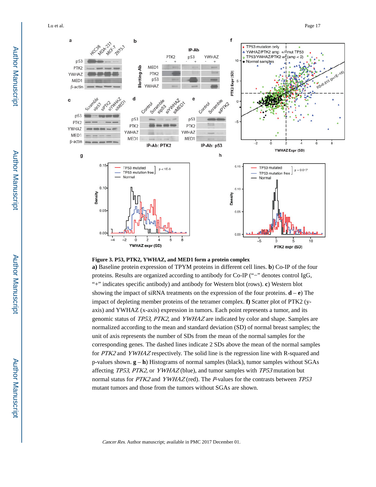Lu et al. Page 17



#### **Figure 3. P53, PTK2, YWHAZ, and MED1 form a protein complex**

**a)** Baseline protein expression of TPYM proteins in different cell lines. **b**) Co-IP of the four proteins. Results are organized according to antibody for Co-IP ("−" denotes control IgG, "+" indicates specific antibody) and antibody for Western blot (rows). **c**) Western blot showing the impact of siRNA treatments on the expression of the four proteins. **d** – **e**) The impact of depleting member proteins of the tetramer complex. **f)** Scatter plot of PTK2 (yaxis) and YWHAZ (x-axis) expression in tumors. Each point represents a tumor, and its genomic status of TP53, PTK2, and YWHAZ are indicated by color and shape. Samples are normalized according to the mean and standard deviation (SD) of normal breast samples; the unit of axis represents the number of SDs from the mean of the normal samples for the corresponding genes. The dashed lines indicate 2 SDs above the mean of the normal samples for PTK2 and YWHAZ respectively. The solid line is the regression line with R-squared and p-values shown. **g** – **h**) Histograms of normal samples (black), tumor samples without SGAs affecting TP53, PTK2, or YWHAZ (blue), and tumor samples with TP53 mutation but normal status for PTK2 and YWHAZ (red). The P-values for the contrasts between TP53 mutant tumors and those from the tumors without SGAs are shown.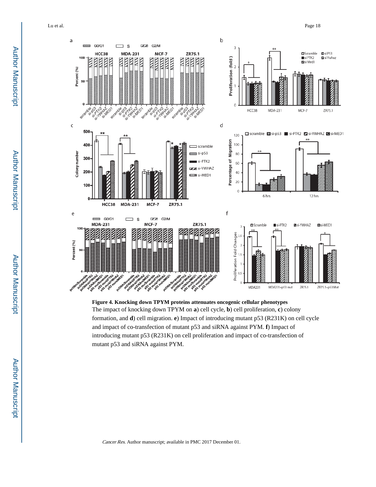

**Figure 4. Knocking down TPYM proteins attenuates oncogenic cellular phenotypes** The impact of knocking down TPYM on **a**) cell cycle, **b**) cell proliferation, **c**) colony formation, and **d**) cell migration. **e**) Impact of introducing mutant p53 (R231K) on cell cycle and impact of co-transfection of mutant p53 and siRNA against PYM. **f**) Impact of introducing mutant p53 (R231K) on cell proliferation and impact of co-transfection of mutant p53 and siRNA against PYM.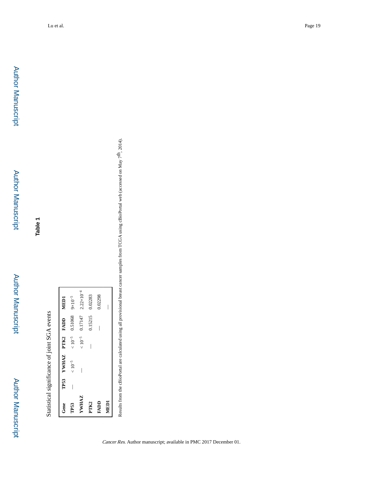**Table 1**

Statistical significance of joint SGA events Statistical significance of joint SGA events

| Gene                | TP53 YWHAZ PTK2 FADD |                     | <b>NED1</b>           |
|---------------------|----------------------|---------------------|-----------------------|
| TP53                | $< 10^{-5}$          | $< 10^{-5}$ 0.51068 | $9 \times 10^{-5}$    |
| <b><i>YWHAZ</i></b> | I                    | $< 10^{-5}$ 0.17147 | $2.22 \times 10^{-4}$ |
| PTK <sub>2</sub>    |                      | 0.15215             | 0.02283               |
| RADD                |                      | I                   | 0.02298               |
| MEDI                |                      |                     |                       |

Results from the cBioPortal are calculated using all provisional breast cancer samples from TCGA using cBioPortal web (accessed on May 7<sup>th</sup>, 2014). — Results from the cBioPortal are calculated using all provisional breast cancer samples from TCGA using cBioPortal web (accessed on May 7th, 2014).